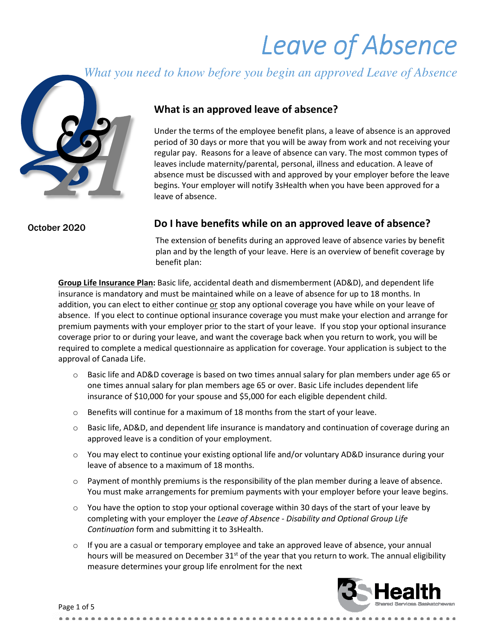# Leave of Absence

*What you need to know before you begin an approved Leave of Absence*



### What is an approved leave of absence?

Under the terms of the employee benefit plans, a leave of absence is an approved period of 30 days or more that you will be away from work and not receiving your regular pay. Reasons for a leave of absence can vary. The most common types of leaves include maternity/parental, personal, illness and education. A leave of absence must be discussed with and approved by your employer before the leave begins. Your employer will notify 3sHealth when you have been approved for a leave of absence.

October 2020

#### Do I have benefits while on an approved leave of absence?

The extension of benefits during an approved leave of absence varies by benefit plan and by the length of your leave. Here is an overview of benefit coverage by benefit plan:

Group Life Insurance Plan: Basic life, accidental death and dismemberment (AD&D), and dependent life insurance is mandatory and must be maintained while on a leave of absence for up to 18 months. In addition, you can elect to either continue or stop any optional coverage you have while on your leave of absence. If you elect to continue optional insurance coverage you must make your election and arrange for premium payments with your employer prior to the start of your leave. If you stop your optional insurance coverage prior to or during your leave, and want the coverage back when you return to work, you will be required to complete a medical questionnaire as application for coverage. Your application is subject to the approval of Canada Life.

- $\circ$  Basic life and AD&D coverage is based on two times annual salary for plan members under age 65 or one times annual salary for plan members age 65 or over. Basic Life includes dependent life insurance of \$10,000 for your spouse and \$5,000 for each eligible dependent child.
- $\circ$  Benefits will continue for a maximum of 18 months from the start of your leave.
- $\circ$  Basic life, AD&D, and dependent life insurance is mandatory and continuation of coverage during an approved leave is a condition of your employment.
- $\circ$  You may elect to continue your existing optional life and/or voluntary AD&D insurance during your leave of absence to a maximum of 18 months.
- $\circ$  Payment of monthly premiums is the responsibility of the plan member during a leave of absence. You must make arrangements for premium payments with your employer before your leave begins.
- $\circ$  You have the option to stop your optional coverage within 30 days of the start of your leave by completing with your employer the Leave of Absence - Disability and Optional Group Life Continuation form and submitting it to 3sHealth.
- $\circ$  If you are a casual or temporary employee and take an approved leave of absence, your annual hours will be measured on December  $31<sup>st</sup>$  of the year that you return to work. The annual eligibility measure determines your group life enrolment for the next

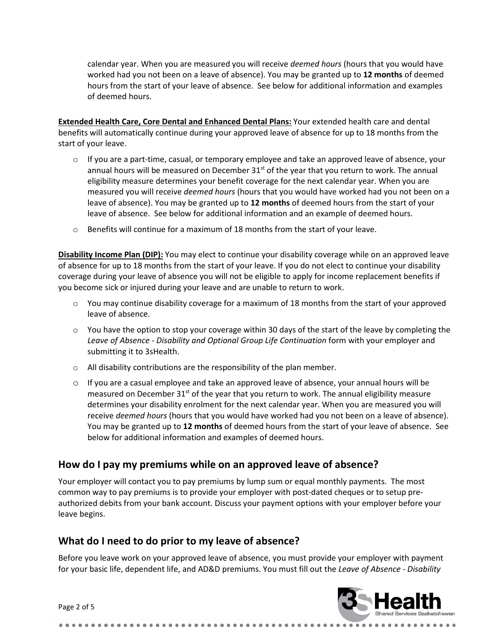calendar year. When you are measured you will receive *deemed hours* (hours that you would have worked had you not been on a leave of absence). You may be granted up to 12 months of deemed hours from the start of your leave of absence. See below for additional information and examples of deemed hours.

Extended Health Care, Core Dental and Enhanced Dental Plans: Your extended health care and dental benefits will automatically continue during your approved leave of absence for up to 18 months from the start of your leave.

- $\circ$  If you are a part-time, casual, or temporary employee and take an approved leave of absence, your annual hours will be measured on December  $31<sup>st</sup>$  of the year that you return to work. The annual eligibility measure determines your benefit coverage for the next calendar year. When you are measured you will receive *deemed hours* (hours that you would have worked had you not been on a leave of absence). You may be granted up to 12 months of deemed hours from the start of your leave of absence. See below for additional information and an example of deemed hours.
- $\circ$  Benefits will continue for a maximum of 18 months from the start of your leave.

Disability Income Plan (DIP): You may elect to continue your disability coverage while on an approved leave of absence for up to 18 months from the start of your leave. If you do not elect to continue your disability coverage during your leave of absence you will not be eligible to apply for income replacement benefits if you become sick or injured during your leave and are unable to return to work.

- $\circ$  You may continue disability coverage for a maximum of 18 months from the start of your approved leave of absence.
- $\circ$  You have the option to stop your coverage within 30 days of the start of the leave by completing the Leave of Absence - Disability and Optional Group Life Continuation form with your employer and submitting it to 3sHealth.
- $\circ$  All disability contributions are the responsibility of the plan member.
- $\circ$  If you are a casual employee and take an approved leave of absence, your annual hours will be measured on December  $31<sup>st</sup>$  of the year that you return to work. The annual eligibility measure determines your disability enrolment for the next calendar year. When you are measured you will receive *deemed hours* (hours that you would have worked had you not been on a leave of absence). You may be granted up to 12 months of deemed hours from the start of your leave of absence. See below for additional information and examples of deemed hours.

#### How do I pay my premiums while on an approved leave of absence?

Your employer will contact you to pay premiums by lump sum or equal monthly payments. The most common way to pay premiums is to provide your employer with post-dated cheques or to setup preauthorized debits from your bank account. Discuss your payment options with your employer before your leave begins.

# What do I need to do prior to my leave of absence?

Before you leave work on your approved leave of absence, you must provide your employer with payment for your basic life, dependent life, and AD&D premiums. You must fill out the Leave of Absence - Disability

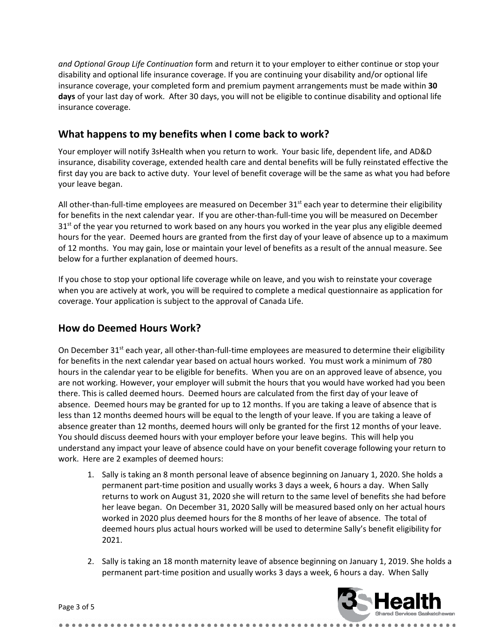and Optional Group Life Continuation form and return it to your employer to either continue or stop your disability and optional life insurance coverage. If you are continuing your disability and/or optional life insurance coverage, your completed form and premium payment arrangements must be made within 30 days of your last day of work. After 30 days, you will not be eligible to continue disability and optional life insurance coverage.

# What happens to my benefits when I come back to work?

Your employer will notify 3sHealth when you return to work. Your basic life, dependent life, and AD&D insurance, disability coverage, extended health care and dental benefits will be fully reinstated effective the first day you are back to active duty. Your level of benefit coverage will be the same as what you had before your leave began.

All other-than-full-time employees are measured on December  $31<sup>st</sup>$  each year to determine their eligibility for benefits in the next calendar year. If you are other-than-full-time you will be measured on December 31<sup>st</sup> of the year you returned to work based on any hours you worked in the year plus any eligible deemed hours for the year. Deemed hours are granted from the first day of your leave of absence up to a maximum of 12 months. You may gain, lose or maintain your level of benefits as a result of the annual measure. See below for a further explanation of deemed hours.

If you chose to stop your optional life coverage while on leave, and you wish to reinstate your coverage when you are actively at work, you will be required to complete a medical questionnaire as application for coverage. Your application is subject to the approval of Canada Life.

# How do Deemed Hours Work?

On December 31<sup>st</sup> each year, all other-than-full-time employees are measured to determine their eligibility for benefits in the next calendar year based on actual hours worked. You must work a minimum of 780 hours in the calendar year to be eligible for benefits. When you are on an approved leave of absence, you are not working. However, your employer will submit the hours that you would have worked had you been there. This is called deemed hours. Deemed hours are calculated from the first day of your leave of absence. Deemed hours may be granted for up to 12 months. If you are taking a leave of absence that is less than 12 months deemed hours will be equal to the length of your leave. If you are taking a leave of absence greater than 12 months, deemed hours will only be granted for the first 12 months of your leave. You should discuss deemed hours with your employer before your leave begins. This will help you understand any impact your leave of absence could have on your benefit coverage following your return to work. Here are 2 examples of deemed hours:

- 1. Sally is taking an 8 month personal leave of absence beginning on January 1, 2020. She holds a permanent part-time position and usually works 3 days a week, 6 hours a day. When Sally returns to work on August 31, 2020 she will return to the same level of benefits she had before her leave began. On December 31, 2020 Sally will be measured based only on her actual hours worked in 2020 plus deemed hours for the 8 months of her leave of absence. The total of deemed hours plus actual hours worked will be used to determine Sally's benefit eligibility for 2021.
- 2. Sally is taking an 18 month maternity leave of absence beginning on January 1, 2019. She holds a permanent part-time position and usually works 3 days a week, 6 hours a day. When Sally

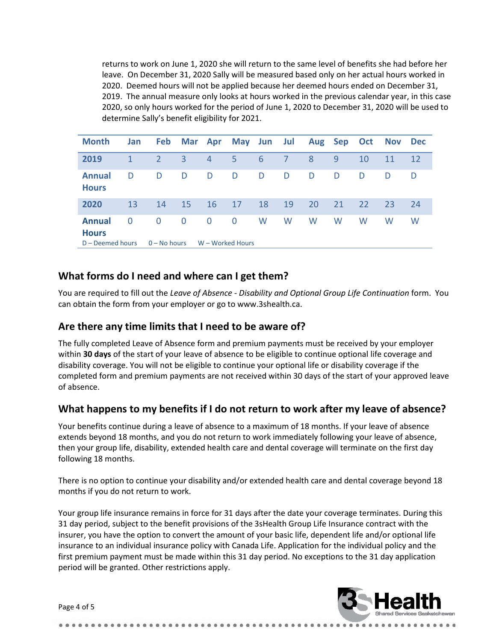returns to work on June 1, 2020 she will return to the same level of benefits she had before her leave. On December 31, 2020 Sally will be measured based only on her actual hours worked in 2020. Deemed hours will not be applied because her deemed hours ended on December 31, 2019. The annual measure only looks at hours worked in the previous calendar year, in this case 2020, so only hours worked for the period of June 1, 2020 to December 31, 2020 will be used to determine Sally's benefit eligibility for 2021.

| <b>Month</b>                  | <b>Jan</b>   | Feb            |          | Mar Apr          |              | May Jun Jul |    |    | Aug Sep Oct |    | <b>Nov</b> | <b>Dec</b> |
|-------------------------------|--------------|----------------|----------|------------------|--------------|-------------|----|----|-------------|----|------------|------------|
| 2019                          | $\mathbf{1}$ | 2              | 3        | $\overline{4}$   | 5.           | 6           | 7  | 8  | 9           | 10 | 11         | 12         |
| <b>Annual</b><br><b>Hours</b> | D            | D              | D        | D                | D            | D           | D  | D  | D           | D  | D          | D          |
| 2020                          | 13           | 14             | 15       | 16               | 17           | 18          | 19 | 20 | 21          | 22 | 23         | 24         |
| <b>Annual</b><br><b>Hours</b> | $\Omega$     | $\Omega$       | $\Omega$ | $\Omega$         | $\mathbf{0}$ | W           | W  | W  | W           | W  | W          | W          |
| $D$ – Deemed hours            |              | $0 - No hours$ |          | W - Worked Hours |              |             |    |    |             |    |            |            |

# What forms do I need and where can I get them?

You are required to fill out the Leave of Absence - Disability and Optional Group Life Continuation form. You can obtain the form from your employer or go to www.3shealth.ca.

# Are there any time limits that I need to be aware of?

The fully completed Leave of Absence form and premium payments must be received by your employer within 30 days of the start of your leave of absence to be eligible to continue optional life coverage and disability coverage. You will not be eligible to continue your optional life or disability coverage if the completed form and premium payments are not received within 30 days of the start of your approved leave of absence.

# What happens to my benefits if I do not return to work after my leave of absence?

Your benefits continue during a leave of absence to a maximum of 18 months. If your leave of absence extends beyond 18 months, and you do not return to work immediately following your leave of absence, then your group life, disability, extended health care and dental coverage will terminate on the first day following 18 months.

There is no option to continue your disability and/or extended health care and dental coverage beyond 18 months if you do not return to work.

Your group life insurance remains in force for 31 days after the date your coverage terminates. During this 31 day period, subject to the benefit provisions of the 3sHealth Group Life Insurance contract with the insurer, you have the option to convert the amount of your basic life, dependent life and/or optional life insurance to an individual insurance policy with Canada Life. Application for the individual policy and the first premium payment must be made within this 31 day period. No exceptions to the 31 day application period will be granted. Other restrictions apply.